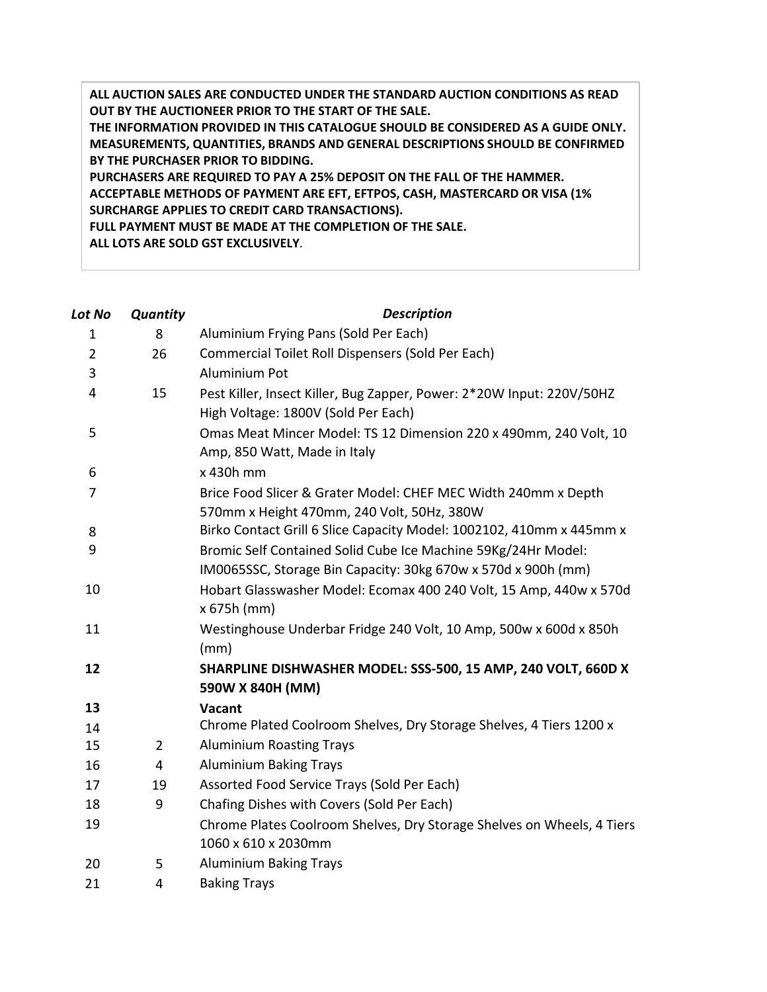**ALL AUCTION SALES ARE CONDUCTED UNDER THE STANDARD AUCTION CONDITIONS AS READ OUT BY THE AUCTIONEER PRIOR TO THE START OF THE SALE. THE INFORMATION PROVIDED IN THIS CATALOGUE SHOULD BE CONSIDERED AS A GUIDE ONLY. MEASUREMENTS, QUANTITIES, BRANDS AND GENERAL DESCRIPTIONS SHOULD BE CONFIRMED BY THE PURCHASER PRIOR TO BIDDING. PURCHASERS ARE REQUIRED TO PAY A 25% DEPOSIT ON THE FALL OF THE HAMMER. ACCEPTABLE METHODS OF PAYMENT ARE EFT, EFTPOS, CASH, MASTERCARD OR VISA (1% SURCHARGE APPLIES TO CREDIT CARD TRANSACTIONS). FULL PAYMENT MUST BE MADE AT THE COMPLETION OF THE SALE. ALL LOTS ARE SOLD GST EXCLUSIVELY**.

| Lot No         | Quantity       | <b>Description</b>                                                                                                             |
|----------------|----------------|--------------------------------------------------------------------------------------------------------------------------------|
| 1              | 8              | Aluminium Frying Pans (Sold Per Each)                                                                                          |
| $\overline{2}$ | 26             | Commercial Toilet Roll Dispensers (Sold Per Each)                                                                              |
| 3              |                | Aluminium Pot                                                                                                                  |
| 4              | 15             | Pest Killer, Insect Killer, Bug Zapper, Power: 2*20W Input: 220V/50HZ<br>High Voltage: 1800V (Sold Per Each)                   |
| 5              |                | Omas Meat Mincer Model: TS 12 Dimension 220 x 490mm, 240 Volt, 10<br>Amp, 850 Watt, Made in Italy                              |
| 6              |                | x 430h mm                                                                                                                      |
| $\overline{7}$ |                | Brice Food Slicer & Grater Model: CHEF MEC Width 240mm x Depth<br>570mm x Height 470mm, 240 Volt, 50Hz, 380W                   |
| 8              |                | Birko Contact Grill 6 Slice Capacity Model: 1002102, 410mm x 445mm x                                                           |
| 9              |                | Bromic Self Contained Solid Cube Ice Machine 59Kg/24Hr Model:<br>IM0065SSC, Storage Bin Capacity: 30kg 670w x 570d x 900h (mm) |
| 10             |                | Hobart Glasswasher Model: Ecomax 400 240 Volt, 15 Amp, 440w x 570d<br>x 675h (mm)                                              |
| 11             |                | Westinghouse Underbar Fridge 240 Volt, 10 Amp, 500w x 600d x 850h<br>(mm)                                                      |
| 12             |                | SHARPLINE DISHWASHER MODEL: SSS-500, 15 AMP, 240 VOLT, 660D X<br>590W X 840H (MM)                                              |
| 13             |                | Vacant                                                                                                                         |
| 14             |                | Chrome Plated Coolroom Shelves, Dry Storage Shelves, 4 Tiers 1200 x                                                            |
| 15             | $\overline{2}$ | <b>Aluminium Roasting Trays</b>                                                                                                |
| 16             | 4              | <b>Aluminium Baking Trays</b>                                                                                                  |
| 17             | 19             | Assorted Food Service Trays (Sold Per Each)                                                                                    |
| 18             | 9              | Chafing Dishes with Covers (Sold Per Each)                                                                                     |
| 19             |                | Chrome Plates Coolroom Shelves, Dry Storage Shelves on Wheels, 4 Tiers<br>1060 x 610 x 2030mm                                  |
| 20             | 5              | <b>Aluminium Baking Trays</b>                                                                                                  |
| 21             | 4              | <b>Baking Trays</b>                                                                                                            |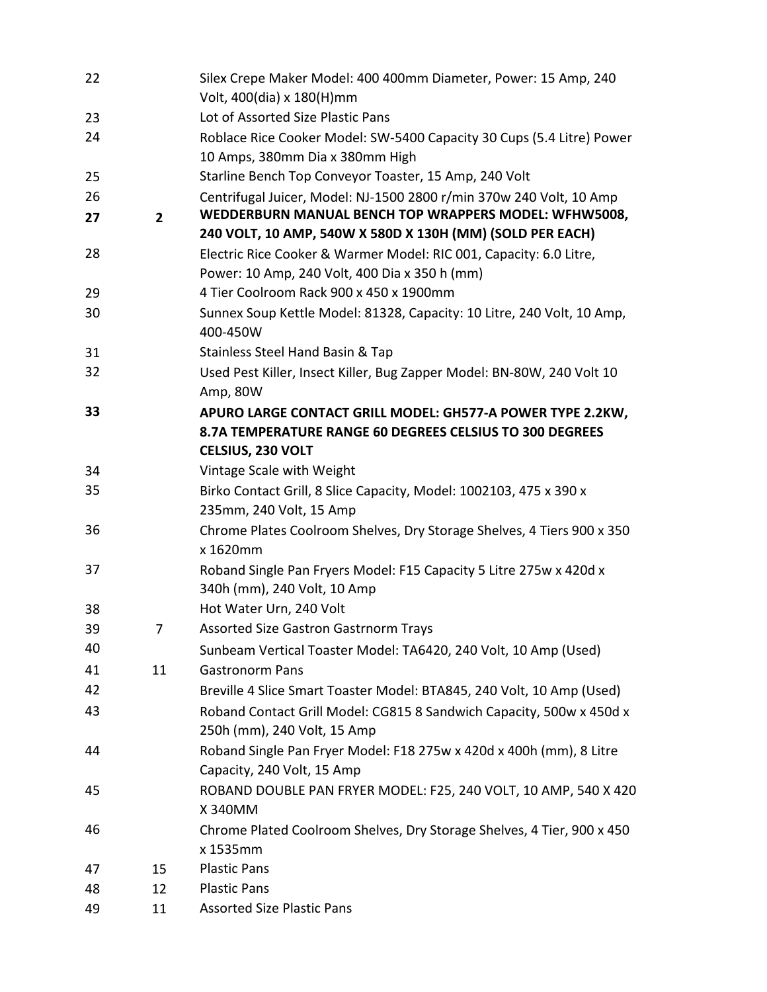| 22       |                | Silex Crepe Maker Model: 400 400mm Diameter, Power: 15 Amp, 240                                                              |
|----------|----------------|------------------------------------------------------------------------------------------------------------------------------|
|          |                | Volt, 400(dia) x 180(H)mm                                                                                                    |
| 23       |                | Lot of Assorted Size Plastic Pans                                                                                            |
| 24       |                | Roblace Rice Cooker Model: SW-5400 Capacity 30 Cups (5.4 Litre) Power                                                        |
|          |                | 10 Amps, 380mm Dia x 380mm High                                                                                              |
| 25       |                | Starline Bench Top Conveyor Toaster, 15 Amp, 240 Volt                                                                        |
| 26<br>27 | $\overline{2}$ | Centrifugal Juicer, Model: NJ-1500 2800 r/min 370w 240 Volt, 10 Amp<br>WEDDERBURN MANUAL BENCH TOP WRAPPERS MODEL: WFHW5008, |
|          |                | 240 VOLT, 10 AMP, 540W X 580D X 130H (MM) (SOLD PER EACH)                                                                    |
| 28       |                | Electric Rice Cooker & Warmer Model: RIC 001, Capacity: 6.0 Litre,<br>Power: 10 Amp, 240 Volt, 400 Dia x 350 h (mm)          |
| 29       |                | 4 Tier Coolroom Rack 900 x 450 x 1900mm                                                                                      |
| 30       |                | Sunnex Soup Kettle Model: 81328, Capacity: 10 Litre, 240 Volt, 10 Amp,<br>400-450W                                           |
| 31       |                | Stainless Steel Hand Basin & Tap                                                                                             |
| 32       |                | Used Pest Killer, Insect Killer, Bug Zapper Model: BN-80W, 240 Volt 10<br>Amp, 80W                                           |
| 33       |                | APURO LARGE CONTACT GRILL MODEL: GH577-A POWER TYPE 2.2KW,                                                                   |
|          |                | 8.7A TEMPERATURE RANGE 60 DEGREES CELSIUS TO 300 DEGREES                                                                     |
|          |                | CELSIUS, 230 VOLT                                                                                                            |
| 34       |                | Vintage Scale with Weight                                                                                                    |
| 35       |                | Birko Contact Grill, 8 Slice Capacity, Model: 1002103, 475 x 390 x                                                           |
|          |                | 235mm, 240 Volt, 15 Amp                                                                                                      |
| 36       |                | Chrome Plates Coolroom Shelves, Dry Storage Shelves, 4 Tiers 900 x 350<br>x 1620mm                                           |
| 37       |                | Roband Single Pan Fryers Model: F15 Capacity 5 Litre 275w x 420d x<br>340h (mm), 240 Volt, 10 Amp                            |
| 38       |                | Hot Water Urn, 240 Volt                                                                                                      |
| 39       | 7              | <b>Assorted Size Gastron Gastrnorm Trays</b>                                                                                 |
| 40       |                | Sunbeam Vertical Toaster Model: TA6420, 240 Volt, 10 Amp (Used)                                                              |
| 41       | 11             | <b>Gastronorm Pans</b>                                                                                                       |
| 42       |                | Breville 4 Slice Smart Toaster Model: BTA845, 240 Volt, 10 Amp (Used)                                                        |
| 43       |                | Roband Contact Grill Model: CG815 8 Sandwich Capacity, 500w x 450d x<br>250h (mm), 240 Volt, 15 Amp                          |
| 44       |                | Roband Single Pan Fryer Model: F18 275w x 420d x 400h (mm), 8 Litre<br>Capacity, 240 Volt, 15 Amp                            |
| 45       |                | ROBAND DOUBLE PAN FRYER MODEL: F25, 240 VOLT, 10 AMP, 540 X 420<br>X 340MM                                                   |
| 46       |                | Chrome Plated Coolroom Shelves, Dry Storage Shelves, 4 Tier, 900 x 450                                                       |
|          |                | x 1535mm                                                                                                                     |
| 47       | 15             | <b>Plastic Pans</b>                                                                                                          |
| 48       | 12             | <b>Plastic Pans</b>                                                                                                          |
| 49       | 11             | <b>Assorted Size Plastic Pans</b>                                                                                            |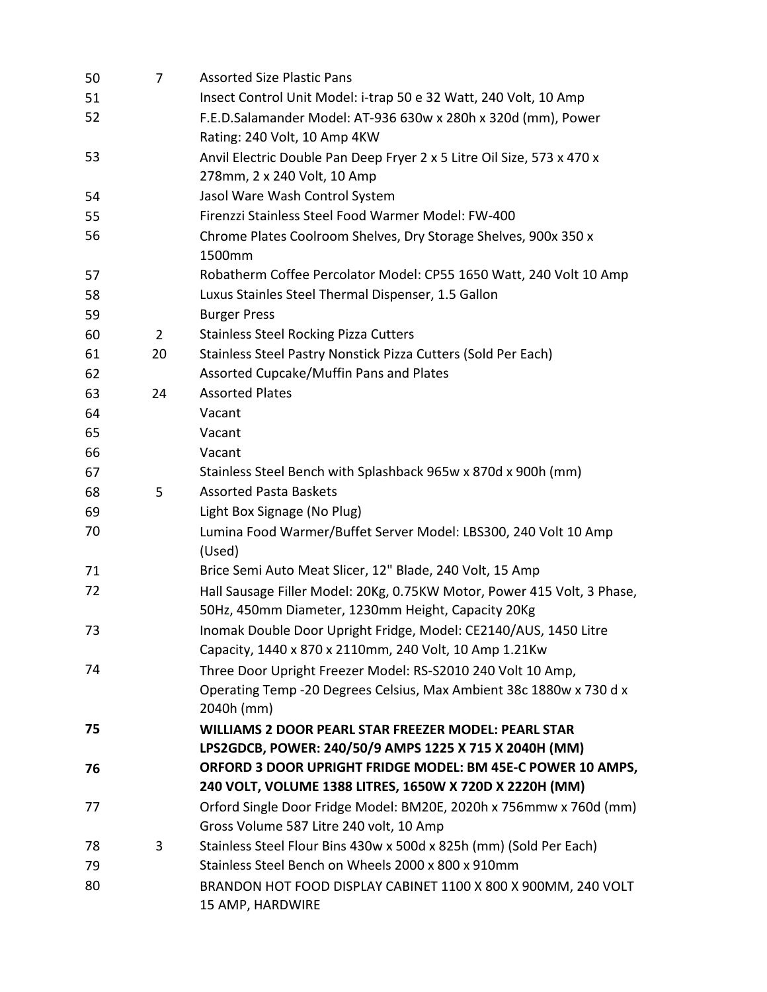| 50 | $\overline{7}$ | <b>Assorted Size Plastic Pans</b>                                                                                                                |
|----|----------------|--------------------------------------------------------------------------------------------------------------------------------------------------|
| 51 |                | Insect Control Unit Model: i-trap 50 e 32 Watt, 240 Volt, 10 Amp                                                                                 |
| 52 |                | F.E.D.Salamander Model: AT-936 630w x 280h x 320d (mm), Power<br>Rating: 240 Volt, 10 Amp 4KW                                                    |
| 53 |                | Anvil Electric Double Pan Deep Fryer 2 x 5 Litre Oil Size, 573 x 470 x                                                                           |
|    |                | 278mm, 2 x 240 Volt, 10 Amp                                                                                                                      |
| 54 |                | Jasol Ware Wash Control System                                                                                                                   |
| 55 |                | Firenzzi Stainless Steel Food Warmer Model: FW-400                                                                                               |
| 56 |                | Chrome Plates Coolroom Shelves, Dry Storage Shelves, 900x 350 x<br>1500mm                                                                        |
| 57 |                | Robatherm Coffee Percolator Model: CP55 1650 Watt, 240 Volt 10 Amp                                                                               |
| 58 |                | Luxus Stainles Steel Thermal Dispenser, 1.5 Gallon                                                                                               |
| 59 |                | <b>Burger Press</b>                                                                                                                              |
| 60 | $\overline{2}$ | <b>Stainless Steel Rocking Pizza Cutters</b>                                                                                                     |
| 61 | 20             | Stainless Steel Pastry Nonstick Pizza Cutters (Sold Per Each)                                                                                    |
| 62 |                | Assorted Cupcake/Muffin Pans and Plates                                                                                                          |
| 63 | 24             | <b>Assorted Plates</b>                                                                                                                           |
| 64 |                | Vacant                                                                                                                                           |
| 65 |                | Vacant                                                                                                                                           |
| 66 |                | Vacant                                                                                                                                           |
| 67 |                | Stainless Steel Bench with Splashback 965w x 870d x 900h (mm)                                                                                    |
| 68 | 5              | <b>Assorted Pasta Baskets</b>                                                                                                                    |
| 69 |                | Light Box Signage (No Plug)                                                                                                                      |
| 70 |                | Lumina Food Warmer/Buffet Server Model: LBS300, 240 Volt 10 Amp<br>(Used)                                                                        |
| 71 |                | Brice Semi Auto Meat Slicer, 12" Blade, 240 Volt, 15 Amp                                                                                         |
| 72 |                | Hall Sausage Filler Model: 20Kg, 0.75KW Motor, Power 415 Volt, 3 Phase,<br>50Hz, 450mm Diameter, 1230mm Height, Capacity 20Kg                    |
| 73 |                | Inomak Double Door Upright Fridge, Model: CE2140/AUS, 1450 Litre<br>Capacity, 1440 x 870 x 2110mm, 240 Volt, 10 Amp 1.21Kw                       |
| 74 |                | Three Door Upright Freezer Model: RS-S2010 240 Volt 10 Amp,<br>Operating Temp -20 Degrees Celsius, Max Ambient 38c 1880w x 730 d x<br>2040h (mm) |
| 75 |                | <b>WILLIAMS 2 DOOR PEARL STAR FREEZER MODEL: PEARL STAR</b><br>LPS2GDCB, POWER: 240/50/9 AMPS 1225 X 715 X 2040H (MM)                            |
| 76 |                | ORFORD 3 DOOR UPRIGHT FRIDGE MODEL: BM 45E-C POWER 10 AMPS,                                                                                      |
|    |                | 240 VOLT, VOLUME 1388 LITRES, 1650W X 720D X 2220H (MM)                                                                                          |
| 77 |                | Orford Single Door Fridge Model: BM20E, 2020h x 756mmw x 760d (mm)                                                                               |
|    |                | Gross Volume 587 Litre 240 volt, 10 Amp                                                                                                          |
| 78 | 3              | Stainless Steel Flour Bins 430w x 500d x 825h (mm) (Sold Per Each)                                                                               |
| 79 |                | Stainless Steel Bench on Wheels 2000 x 800 x 910mm                                                                                               |
| 80 |                | BRANDON HOT FOOD DISPLAY CABINET 1100 X 800 X 900MM, 240 VOLT<br>15 AMP, HARDWIRE                                                                |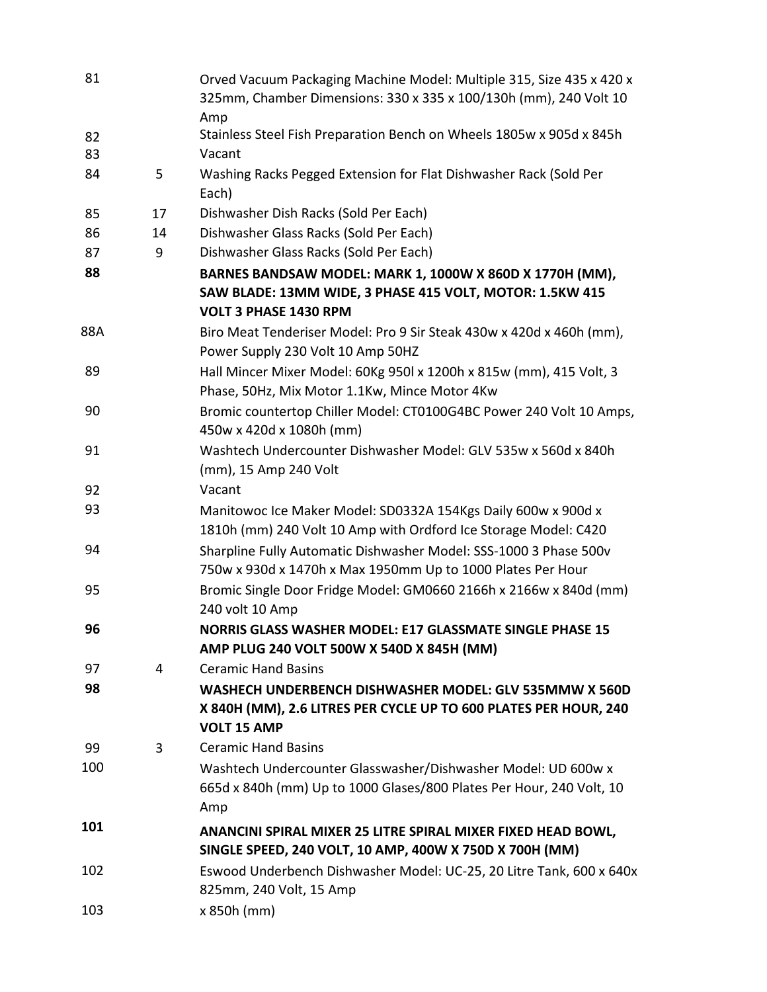| 81  |    | Orved Vacuum Packaging Machine Model: Multiple 315, Size 435 x 420 x<br>325mm, Chamber Dimensions: 330 x 335 x 100/130h (mm), 240 Volt 10 |
|-----|----|-------------------------------------------------------------------------------------------------------------------------------------------|
|     |    | Amp                                                                                                                                       |
| 82  |    | Stainless Steel Fish Preparation Bench on Wheels 1805w x 905d x 845h                                                                      |
| 83  |    | Vacant                                                                                                                                    |
| 84  | 5  | Washing Racks Pegged Extension for Flat Dishwasher Rack (Sold Per<br>Each)                                                                |
| 85  | 17 | Dishwasher Dish Racks (Sold Per Each)                                                                                                     |
| 86  | 14 | Dishwasher Glass Racks (Sold Per Each)                                                                                                    |
| 87  | 9  | Dishwasher Glass Racks (Sold Per Each)                                                                                                    |
| 88  |    | BARNES BANDSAW MODEL: MARK 1, 1000W X 860D X 1770H (MM),                                                                                  |
|     |    | SAW BLADE: 13MM WIDE, 3 PHASE 415 VOLT, MOTOR: 1.5KW 415<br>VOLT 3 PHASE 1430 RPM                                                         |
| 88A |    | Biro Meat Tenderiser Model: Pro 9 Sir Steak 430w x 420d x 460h (mm),                                                                      |
|     |    | Power Supply 230 Volt 10 Amp 50HZ                                                                                                         |
| 89  |    | Hall Mincer Mixer Model: 60Kg 950l x 1200h x 815w (mm), 415 Volt, 3                                                                       |
|     |    | Phase, 50Hz, Mix Motor 1.1Kw, Mince Motor 4Kw                                                                                             |
| 90  |    | Bromic countertop Chiller Model: CT0100G4BC Power 240 Volt 10 Amps,<br>450w x 420d x 1080h (mm)                                           |
| 91  |    | Washtech Undercounter Dishwasher Model: GLV 535w x 560d x 840h<br>(mm), 15 Amp 240 Volt                                                   |
| 92  |    | Vacant                                                                                                                                    |
| 93  |    | Manitowoc Ice Maker Model: SD0332A 154Kgs Daily 600w x 900d x<br>1810h (mm) 240 Volt 10 Amp with Ordford Ice Storage Model: C420          |
| 94  |    | Sharpline Fully Automatic Dishwasher Model: SSS-1000 3 Phase 500v<br>750w x 930d x 1470h x Max 1950mm Up to 1000 Plates Per Hour          |
| 95  |    | Bromic Single Door Fridge Model: GM0660 2166h x 2166w x 840d (mm)<br>240 volt 10 Amp                                                      |
| 96  |    | NORRIS GLASS WASHER MODEL: E17 GLASSMATE SINGLE PHASE 15                                                                                  |
|     |    | AMP PLUG 240 VOLT 500W X 540D X 845H (MM)                                                                                                 |
| 97  | 4  | <b>Ceramic Hand Basins</b>                                                                                                                |
| 98  |    | WASHECH UNDERBENCH DISHWASHER MODEL: GLV 535MMW X 560D                                                                                    |
|     |    | X 840H (MM), 2.6 LITRES PER CYCLE UP TO 600 PLATES PER HOUR, 240<br><b>VOLT 15 AMP</b>                                                    |
| 99  | 3  | <b>Ceramic Hand Basins</b>                                                                                                                |
| 100 |    | Washtech Undercounter Glasswasher/Dishwasher Model: UD 600w x                                                                             |
|     |    | 665d x 840h (mm) Up to 1000 Glases/800 Plates Per Hour, 240 Volt, 10<br>Amp                                                               |
| 101 |    | ANANCINI SPIRAL MIXER 25 LITRE SPIRAL MIXER FIXED HEAD BOWL,<br>SINGLE SPEED, 240 VOLT, 10 AMP, 400W X 750D X 700H (MM)                   |
| 102 |    | Eswood Underbench Dishwasher Model: UC-25, 20 Litre Tank, 600 x 640x<br>825mm, 240 Volt, 15 Amp                                           |
| 103 |    | x 850h (mm)                                                                                                                               |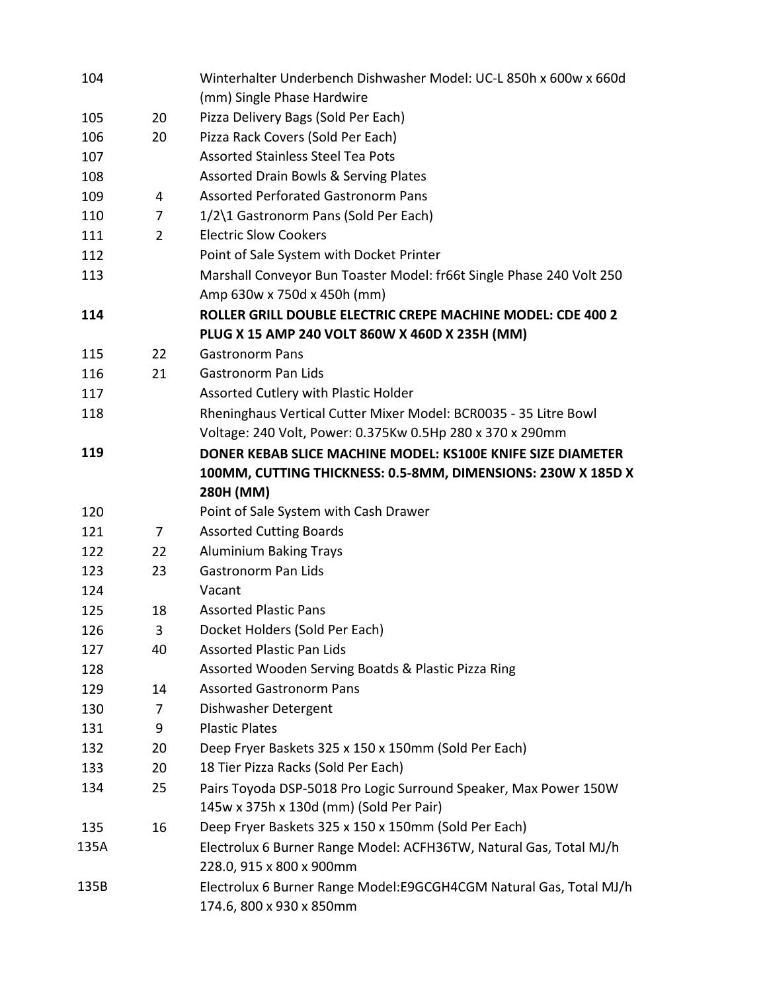| 104  |    | Winterhalter Underbench Dishwasher Model: UC-L 850h x 600w x 660d                                                                        |
|------|----|------------------------------------------------------------------------------------------------------------------------------------------|
|      |    | (mm) Single Phase Hardwire                                                                                                               |
| 105  | 20 | Pizza Delivery Bags (Sold Per Each)                                                                                                      |
| 106  | 20 | Pizza Rack Covers (Sold Per Each)                                                                                                        |
| 107  |    | <b>Assorted Stainless Steel Tea Pots</b>                                                                                                 |
| 108  |    | <b>Assorted Drain Bowls &amp; Serving Plates</b>                                                                                         |
| 109  | 4  | <b>Assorted Perforated Gastronorm Pans</b>                                                                                               |
| 110  | 7  | 1/2\1 Gastronorm Pans (Sold Per Each)                                                                                                    |
| 111  | 2  | <b>Electric Slow Cookers</b>                                                                                                             |
| 112  |    | Point of Sale System with Docket Printer                                                                                                 |
| 113  |    | Marshall Conveyor Bun Toaster Model: fr66t Single Phase 240 Volt 250                                                                     |
|      |    | Amp 630w x 750d x 450h (mm)                                                                                                              |
| 114  |    | ROLLER GRILL DOUBLE ELECTRIC CREPE MACHINE MODEL: CDE 400 2<br>PLUG X 15 AMP 240 VOLT 860W X 460D X 235H (MM)                            |
| 115  | 22 | <b>Gastronorm Pans</b>                                                                                                                   |
| 116  | 21 | <b>Gastronorm Pan Lids</b>                                                                                                               |
| 117  |    | Assorted Cutlery with Plastic Holder                                                                                                     |
| 118  |    | Rheninghaus Vertical Cutter Mixer Model: BCR0035 - 35 Litre Bowl                                                                         |
|      |    | Voltage: 240 Volt, Power: 0.375Kw 0.5Hp 280 x 370 x 290mm                                                                                |
| 119  |    | DONER KEBAB SLICE MACHINE MODEL: KS100E KNIFE SIZE DIAMETER<br>100MM, CUTTING THICKNESS: 0.5-8MM, DIMENSIONS: 230W X 185D X<br>280H (MM) |
| 120  |    | Point of Sale System with Cash Drawer                                                                                                    |
| 121  | 7  | <b>Assorted Cutting Boards</b>                                                                                                           |
| 122  | 22 | <b>Aluminium Baking Trays</b>                                                                                                            |
| 123  | 23 | <b>Gastronorm Pan Lids</b>                                                                                                               |
| 124  |    | Vacant                                                                                                                                   |
| 125  | 18 | <b>Assorted Plastic Pans</b>                                                                                                             |
| 126  | 3  | Docket Holders (Sold Per Each)                                                                                                           |
| 127  | 40 | <b>Assorted Plastic Pan Lids</b>                                                                                                         |
| 128  |    | Assorted Wooden Serving Boatds & Plastic Pizza Ring                                                                                      |
| 129  | 14 | <b>Assorted Gastronorm Pans</b>                                                                                                          |
| 130  | 7  | Dishwasher Detergent                                                                                                                     |
| 131  | 9  | <b>Plastic Plates</b>                                                                                                                    |
| 132  | 20 | Deep Fryer Baskets 325 x 150 x 150mm (Sold Per Each)                                                                                     |
| 133  | 20 | 18 Tier Pizza Racks (Sold Per Each)                                                                                                      |
| 134  | 25 | Pairs Toyoda DSP-5018 Pro Logic Surround Speaker, Max Power 150W                                                                         |
|      |    | 145w x 375h x 130d (mm) (Sold Per Pair)                                                                                                  |
| 135  | 16 | Deep Fryer Baskets 325 x 150 x 150mm (Sold Per Each)                                                                                     |
| 135A |    | Electrolux 6 Burner Range Model: ACFH36TW, Natural Gas, Total MJ/h                                                                       |
|      |    | 228.0, 915 x 800 x 900mm                                                                                                                 |
| 135B |    | Electrolux 6 Burner Range Model: E9GCGH4CGM Natural Gas, Total MJ/h                                                                      |
|      |    | 174.6, 800 x 930 x 850mm                                                                                                                 |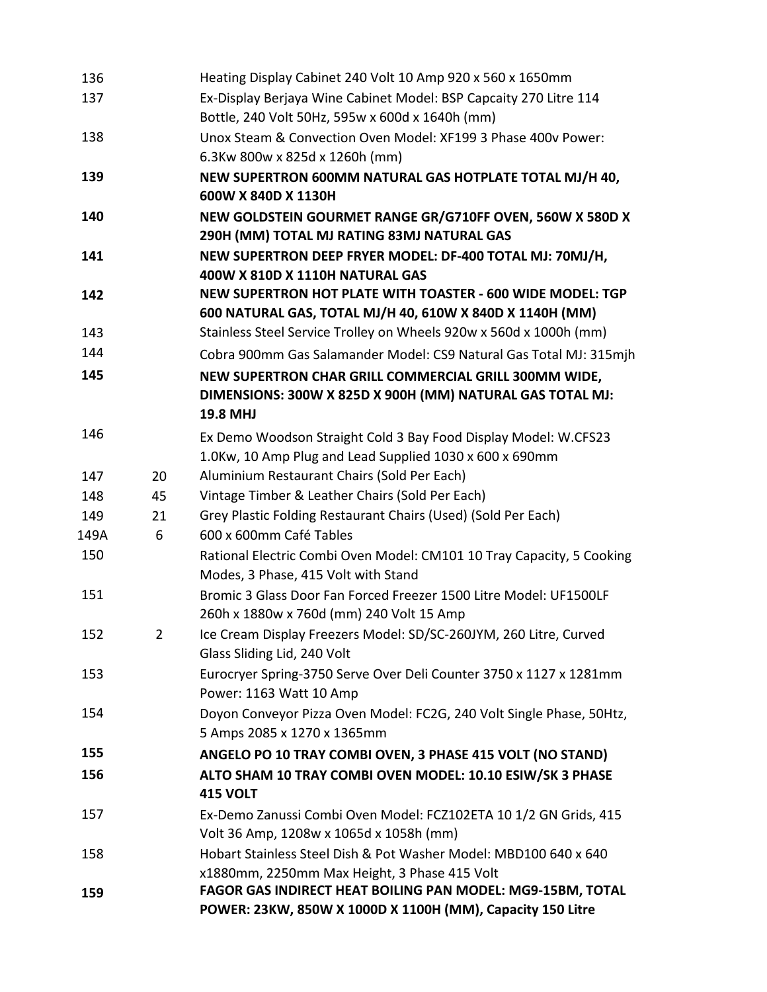| 136  |    | Heating Display Cabinet 240 Volt 10 Amp 920 x 560 x 1650mm                                                                     |
|------|----|--------------------------------------------------------------------------------------------------------------------------------|
| 137  |    | Ex-Display Berjaya Wine Cabinet Model: BSP Capcaity 270 Litre 114                                                              |
|      |    | Bottle, 240 Volt 50Hz, 595w x 600d x 1640h (mm)                                                                                |
| 138  |    | Unox Steam & Convection Oven Model: XF199 3 Phase 400v Power:                                                                  |
|      |    | 6.3Kw 800w x 825d x 1260h (mm)                                                                                                 |
| 139  |    | NEW SUPERTRON 600MM NATURAL GAS HOTPLATE TOTAL MJ/H 40,                                                                        |
|      |    | 600W X 840D X 1130H                                                                                                            |
| 140  |    | NEW GOLDSTEIN GOURMET RANGE GR/G710FF OVEN, 560W X 580D X                                                                      |
|      |    | 290H (MM) TOTAL MJ RATING 83MJ NATURAL GAS                                                                                     |
| 141  |    | NEW SUPERTRON DEEP FRYER MODEL: DF-400 TOTAL MJ: 70MJ/H,<br>400W X 810D X 1110H NATURAL GAS                                    |
| 142  |    | NEW SUPERTRON HOT PLATE WITH TOASTER - 600 WIDE MODEL: TGP<br>600 NATURAL GAS, TOTAL MJ/H 40, 610W X 840D X 1140H (MM)         |
| 143  |    | Stainless Steel Service Trolley on Wheels 920w x 560d x 1000h (mm)                                                             |
| 144  |    | Cobra 900mm Gas Salamander Model: CS9 Natural Gas Total MJ: 315mjh                                                             |
| 145  |    | NEW SUPERTRON CHAR GRILL COMMERCIAL GRILL 300MM WIDE,<br>DIMENSIONS: 300W X 825D X 900H (MM) NATURAL GAS TOTAL MJ:<br>19.8 MHJ |
| 146  |    | Ex Demo Woodson Straight Cold 3 Bay Food Display Model: W.CFS23                                                                |
|      |    | 1.0Kw, 10 Amp Plug and Lead Supplied 1030 x 600 x 690mm                                                                        |
| 147  | 20 | Aluminium Restaurant Chairs (Sold Per Each)                                                                                    |
| 148  | 45 | Vintage Timber & Leather Chairs (Sold Per Each)                                                                                |
| 149  | 21 | Grey Plastic Folding Restaurant Chairs (Used) (Sold Per Each)                                                                  |
| 149A | 6  | 600 x 600mm Café Tables                                                                                                        |
| 150  |    | Rational Electric Combi Oven Model: CM101 10 Tray Capacity, 5 Cooking<br>Modes, 3 Phase, 415 Volt with Stand                   |
| 151  |    | Bromic 3 Glass Door Fan Forced Freezer 1500 Litre Model: UF1500LF<br>260h x 1880w x 760d (mm) 240 Volt 15 Amp                  |
| 152  |    | Ice Cream Display Freezers Model: SD/SC-260JYM, 260 Litre, Curved<br>Glass Sliding Lid, 240 Volt                               |
| 153  |    | Eurocryer Spring-3750 Serve Over Deli Counter 3750 x 1127 x 1281mm<br>Power: 1163 Watt 10 Amp                                  |
| 154  |    | Doyon Conveyor Pizza Oven Model: FC2G, 240 Volt Single Phase, 50Htz,<br>5 Amps 2085 x 1270 x 1365mm                            |
| 155  |    | ANGELO PO 10 TRAY COMBI OVEN, 3 PHASE 415 VOLT (NO STAND)                                                                      |
| 156  |    | ALTO SHAM 10 TRAY COMBI OVEN MODEL: 10.10 ESIW/SK 3 PHASE<br><b>415 VOLT</b>                                                   |
| 157  |    | Ex-Demo Zanussi Combi Oven Model: FCZ102ETA 10 1/2 GN Grids, 415<br>Volt 36 Amp, 1208w x 1065d x 1058h (mm)                    |
| 158  |    | Hobart Stainless Steel Dish & Pot Washer Model: MBD100 640 x 640<br>x1880mm, 2250mm Max Height, 3 Phase 415 Volt               |
| 159  |    | FAGOR GAS INDIRECT HEAT BOILING PAN MODEL: MG9-15BM, TOTAL<br>POWER: 23KW, 850W X 1000D X 1100H (MM), Capacity 150 Litre       |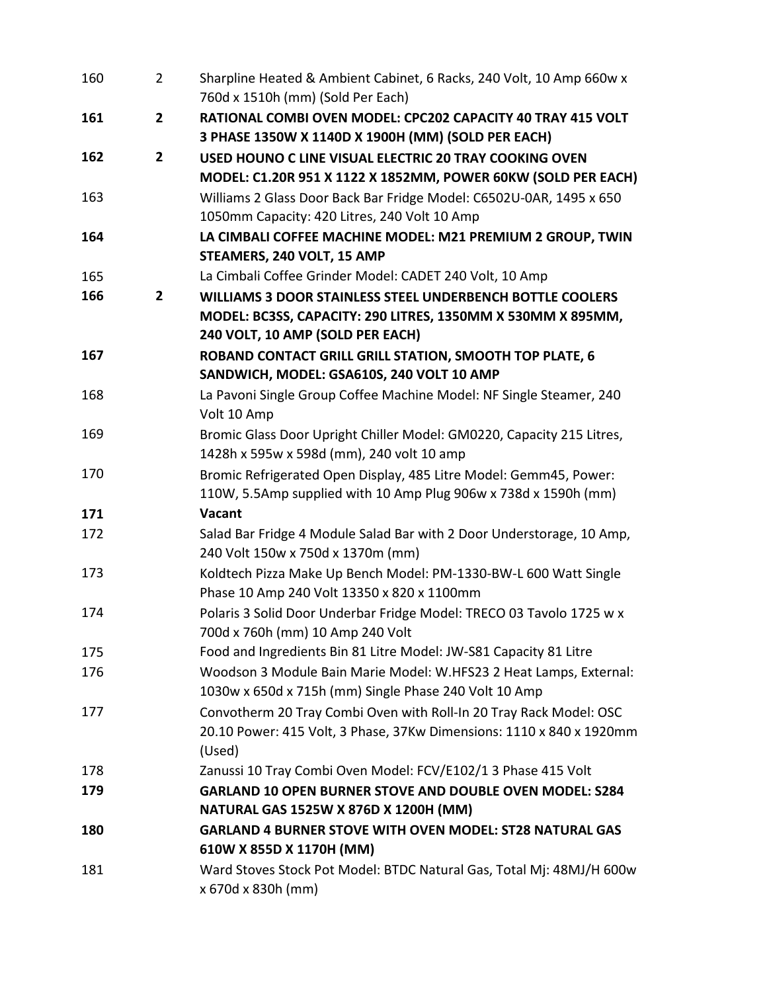| 160 | 2              | Sharpline Heated & Ambient Cabinet, 6 Racks, 240 Volt, 10 Amp 660w x<br>760d x 1510h (mm) (Sold Per Each)      |
|-----|----------------|----------------------------------------------------------------------------------------------------------------|
| 161 | $\overline{2}$ | RATIONAL COMBI OVEN MODEL: CPC202 CAPACITY 40 TRAY 415 VOLT                                                    |
|     |                | 3 PHASE 1350W X 1140D X 1900H (MM) (SOLD PER EACH)                                                             |
| 162 | $\overline{2}$ | USED HOUNO C LINE VISUAL ELECTRIC 20 TRAY COOKING OVEN                                                         |
|     |                | MODEL: C1.20R 951 X 1122 X 1852MM, POWER 60KW (SOLD PER EACH)                                                  |
| 163 |                | Williams 2 Glass Door Back Bar Fridge Model: C6502U-0AR, 1495 x 650                                            |
|     |                | 1050mm Capacity: 420 Litres, 240 Volt 10 Amp                                                                   |
| 164 |                | LA CIMBALI COFFEE MACHINE MODEL: M21 PREMIUM 2 GROUP, TWIN                                                     |
|     |                | STEAMERS, 240 VOLT, 15 AMP                                                                                     |
| 165 |                | La Cimbali Coffee Grinder Model: CADET 240 Volt, 10 Amp                                                        |
| 166 | $\mathbf{2}$   | <b>WILLIAMS 3 DOOR STAINLESS STEEL UNDERBENCH BOTTLE COOLERS</b>                                               |
|     |                | MODEL: BC3SS, CAPACITY: 290 LITRES, 1350MM X 530MM X 895MM,                                                    |
|     |                | 240 VOLT, 10 AMP (SOLD PER EACH)                                                                               |
| 167 |                | ROBAND CONTACT GRILL GRILL STATION, SMOOTH TOP PLATE, 6                                                        |
|     |                | SANDWICH, MODEL: GSA610S, 240 VOLT 10 AMP                                                                      |
| 168 |                | La Pavoni Single Group Coffee Machine Model: NF Single Steamer, 240                                            |
|     |                | Volt 10 Amp                                                                                                    |
| 169 |                | Bromic Glass Door Upright Chiller Model: GM0220, Capacity 215 Litres,                                          |
|     |                | 1428h x 595w x 598d (mm), 240 volt 10 amp                                                                      |
| 170 |                | Bromic Refrigerated Open Display, 485 Litre Model: Gemm45, Power:                                              |
|     |                | 110W, 5.5Amp supplied with 10 Amp Plug 906w x 738d x 1590h (mm)                                                |
| 171 |                | Vacant                                                                                                         |
| 172 |                | Salad Bar Fridge 4 Module Salad Bar with 2 Door Understorage, 10 Amp,                                          |
|     |                | 240 Volt 150w x 750d x 1370m (mm)                                                                              |
| 173 |                | Koldtech Pizza Make Up Bench Model: PM-1330-BW-L 600 Watt Single<br>Phase 10 Amp 240 Volt 13350 x 820 x 1100mm |
| 174 |                | Polaris 3 Solid Door Underbar Fridge Model: TRECO 03 Tavolo 1725 w x                                           |
|     |                | 700d x 760h (mm) 10 Amp 240 Volt                                                                               |
| 175 |                | Food and Ingredients Bin 81 Litre Model: JW-S81 Capacity 81 Litre                                              |
| 176 |                | Woodson 3 Module Bain Marie Model: W.HFS23 2 Heat Lamps, External:                                             |
|     |                | 1030w x 650d x 715h (mm) Single Phase 240 Volt 10 Amp                                                          |
| 177 |                | Convotherm 20 Tray Combi Oven with Roll-In 20 Tray Rack Model: OSC                                             |
|     |                | 20.10 Power: 415 Volt, 3 Phase, 37Kw Dimensions: 1110 x 840 x 1920mm                                           |
|     |                | (Used)                                                                                                         |
| 178 |                | Zanussi 10 Tray Combi Oven Model: FCV/E102/1 3 Phase 415 Volt                                                  |
| 179 |                | <b>GARLAND 10 OPEN BURNER STOVE AND DOUBLE OVEN MODEL: S284</b>                                                |
|     |                | NATURAL GAS 1525W X 876D X 1200H (MM)                                                                          |
| 180 |                | <b>GARLAND 4 BURNER STOVE WITH OVEN MODEL: ST28 NATURAL GAS</b>                                                |
|     |                | 610W X 855D X 1170H (MM)                                                                                       |
| 181 |                | Ward Stoves Stock Pot Model: BTDC Natural Gas, Total Mj: 48MJ/H 600w                                           |
|     |                | x 670d x 830h (mm)                                                                                             |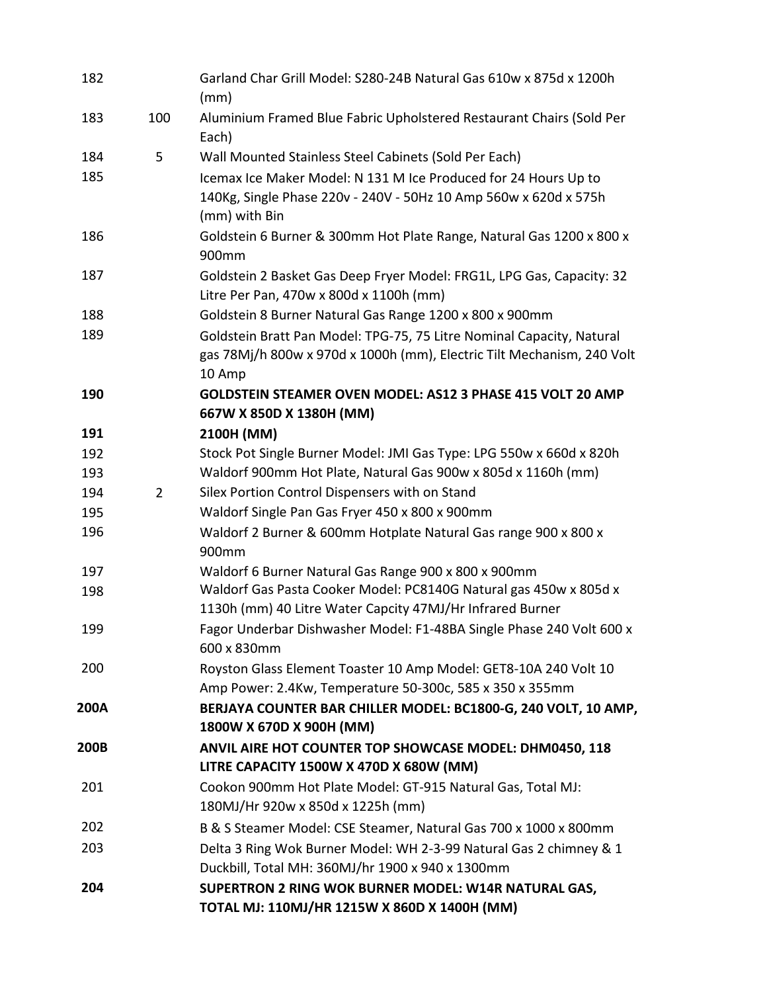| 182  |     | Garland Char Grill Model: S280-24B Natural Gas 610w x 875d x 1200h<br>(mm)                                                                                |
|------|-----|-----------------------------------------------------------------------------------------------------------------------------------------------------------|
| 183  | 100 | Aluminium Framed Blue Fabric Upholstered Restaurant Chairs (Sold Per<br>Each)                                                                             |
| 184  | 5   | Wall Mounted Stainless Steel Cabinets (Sold Per Each)                                                                                                     |
| 185  |     | Icemax Ice Maker Model: N 131 M Ice Produced for 24 Hours Up to<br>140Kg, Single Phase 220v - 240V - 50Hz 10 Amp 560w x 620d x 575h<br>(mm) with Bin      |
| 186  |     | Goldstein 6 Burner & 300mm Hot Plate Range, Natural Gas 1200 x 800 x<br>900mm                                                                             |
| 187  |     | Goldstein 2 Basket Gas Deep Fryer Model: FRG1L, LPG Gas, Capacity: 32<br>Litre Per Pan, 470w x 800d x 1100h (mm)                                          |
| 188  |     | Goldstein 8 Burner Natural Gas Range 1200 x 800 x 900mm                                                                                                   |
| 189  |     | Goldstein Bratt Pan Model: TPG-75, 75 Litre Nominal Capacity, Natural<br>gas 78Mj/h 800w x 970d x 1000h (mm), Electric Tilt Mechanism, 240 Volt<br>10 Amp |
| 190  |     | <b>GOLDSTEIN STEAMER OVEN MODEL: AS12 3 PHASE 415 VOLT 20 AMP</b><br>667W X 850D X 1380H (MM)                                                             |
| 191  |     | 2100H (MM)                                                                                                                                                |
| 192  |     | Stock Pot Single Burner Model: JMI Gas Type: LPG 550w x 660d x 820h                                                                                       |
| 193  |     | Waldorf 900mm Hot Plate, Natural Gas 900w x 805d x 1160h (mm)                                                                                             |
| 194  | 2   | Silex Portion Control Dispensers with on Stand                                                                                                            |
| 195  |     | Waldorf Single Pan Gas Fryer 450 x 800 x 900mm                                                                                                            |
| 196  |     | Waldorf 2 Burner & 600mm Hotplate Natural Gas range 900 x 800 x<br>900mm                                                                                  |
| 197  |     | Waldorf 6 Burner Natural Gas Range 900 x 800 x 900mm                                                                                                      |
| 198  |     | Waldorf Gas Pasta Cooker Model: PC8140G Natural gas 450w x 805d x<br>1130h (mm) 40 Litre Water Capcity 47MJ/Hr Infrared Burner                            |
| 199  |     | Fagor Underbar Dishwasher Model: F1-48BA Single Phase 240 Volt 600 x<br>600 x 830mm                                                                       |
| 200  |     | Royston Glass Element Toaster 10 Amp Model: GET8-10A 240 Volt 10<br>Amp Power: 2.4Kw, Temperature 50-300c, 585 x 350 x 355mm                              |
| 200A |     | BERJAYA COUNTER BAR CHILLER MODEL: BC1800-G, 240 VOLT, 10 AMP,<br>1800W X 670D X 900H (MM)                                                                |
| 200B |     | ANVIL AIRE HOT COUNTER TOP SHOWCASE MODEL: DHM0450, 118<br>LITRE CAPACITY 1500W X 470D X 680W (MM)                                                        |
| 201  |     | Cookon 900mm Hot Plate Model: GT-915 Natural Gas, Total MJ:<br>180MJ/Hr 920w x 850d x 1225h (mm)                                                          |
| 202  |     | B & S Steamer Model: CSE Steamer, Natural Gas 700 x 1000 x 800mm                                                                                          |
| 203  |     | Delta 3 Ring Wok Burner Model: WH 2-3-99 Natural Gas 2 chimney & 1<br>Duckbill, Total MH: 360MJ/hr 1900 x 940 x 1300mm                                    |
| 204  |     | SUPERTRON 2 RING WOK BURNER MODEL: W14R NATURAL GAS,<br>TOTAL MJ: 110MJ/HR 1215W X 860D X 1400H (MM)                                                      |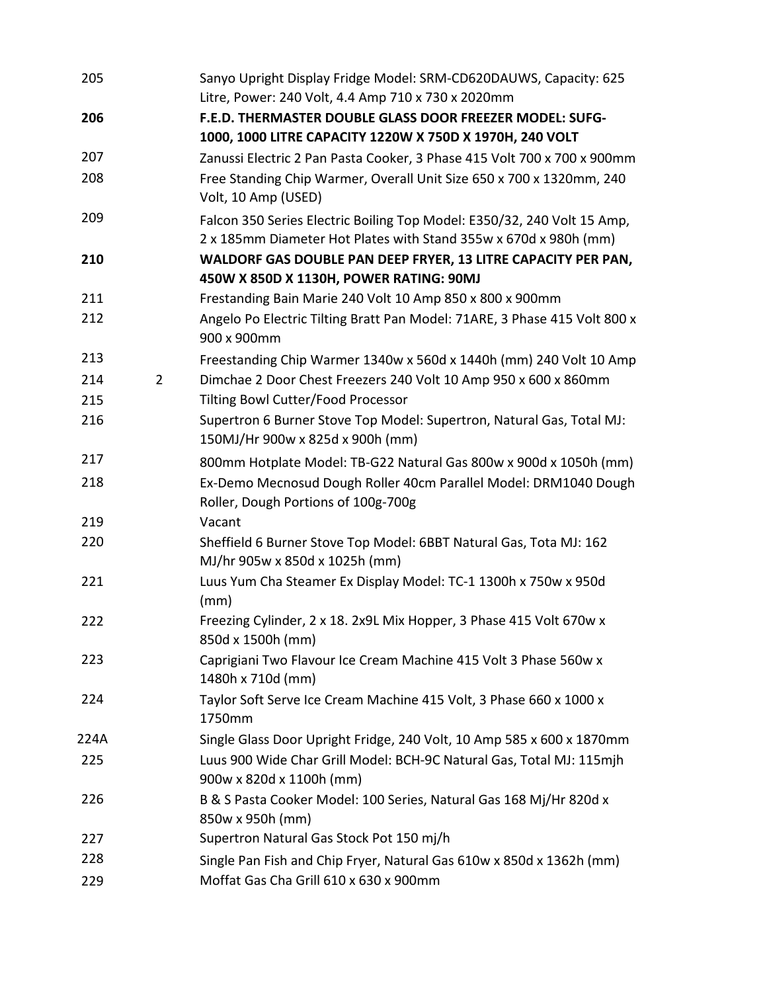| 205  |                | Sanyo Upright Display Fridge Model: SRM-CD620DAUWS, Capacity: 625<br>Litre, Power: 240 Volt, 4.4 Amp 710 x 730 x 2020mm                     |
|------|----------------|---------------------------------------------------------------------------------------------------------------------------------------------|
| 206  |                | F.E.D. THERMASTER DOUBLE GLASS DOOR FREEZER MODEL: SUFG-                                                                                    |
|      |                | 1000, 1000 LITRE CAPACITY 1220W X 750D X 1970H, 240 VOLT                                                                                    |
| 207  |                | Zanussi Electric 2 Pan Pasta Cooker, 3 Phase 415 Volt 700 x 700 x 900mm                                                                     |
| 208  |                | Free Standing Chip Warmer, Overall Unit Size 650 x 700 x 1320mm, 240<br>Volt, 10 Amp (USED)                                                 |
| 209  |                | Falcon 350 Series Electric Boiling Top Model: E350/32, 240 Volt 15 Amp,<br>2 x 185mm Diameter Hot Plates with Stand 355w x 670d x 980h (mm) |
| 210  |                | WALDORF GAS DOUBLE PAN DEEP FRYER, 13 LITRE CAPACITY PER PAN,<br>450W X 850D X 1130H, POWER RATING: 90MJ                                    |
| 211  |                | Frestanding Bain Marie 240 Volt 10 Amp 850 x 800 x 900mm                                                                                    |
| 212  |                | Angelo Po Electric Tilting Bratt Pan Model: 71ARE, 3 Phase 415 Volt 800 x<br>900 x 900mm                                                    |
| 213  |                | Freestanding Chip Warmer 1340w x 560d x 1440h (mm) 240 Volt 10 Amp                                                                          |
| 214  | $\overline{2}$ | Dimchae 2 Door Chest Freezers 240 Volt 10 Amp 950 x 600 x 860mm                                                                             |
| 215  |                | <b>Tilting Bowl Cutter/Food Processor</b>                                                                                                   |
| 216  |                | Supertron 6 Burner Stove Top Model: Supertron, Natural Gas, Total MJ:<br>150MJ/Hr 900w x 825d x 900h (mm)                                   |
| 217  |                | 800mm Hotplate Model: TB-G22 Natural Gas 800w x 900d x 1050h (mm)                                                                           |
| 218  |                | Ex-Demo Mecnosud Dough Roller 40cm Parallel Model: DRM1040 Dough<br>Roller, Dough Portions of 100g-700g                                     |
| 219  |                | Vacant                                                                                                                                      |
| 220  |                | Sheffield 6 Burner Stove Top Model: 6BBT Natural Gas, Tota MJ: 162<br>MJ/hr 905w x 850d x 1025h (mm)                                        |
| 221  |                | Luus Yum Cha Steamer Ex Display Model: TC-1 1300h x 750w x 950d<br>(mm)                                                                     |
| 222  |                | Freezing Cylinder, 2 x 18. 2x9L Mix Hopper, 3 Phase 415 Volt 670w x<br>850d x 1500h (mm)                                                    |
| 223  |                | Caprigiani Two Flavour Ice Cream Machine 415 Volt 3 Phase 560w x<br>1480h x 710d (mm)                                                       |
| 224  |                | Taylor Soft Serve Ice Cream Machine 415 Volt, 3 Phase 660 x 1000 x<br>1750mm                                                                |
| 224A |                | Single Glass Door Upright Fridge, 240 Volt, 10 Amp 585 x 600 x 1870mm                                                                       |
| 225  |                | Luus 900 Wide Char Grill Model: BCH-9C Natural Gas, Total MJ: 115mjh<br>900w x 820d x 1100h (mm)                                            |
| 226  |                | B & S Pasta Cooker Model: 100 Series, Natural Gas 168 Mj/Hr 820d x<br>850w x 950h (mm)                                                      |
| 227  |                | Supertron Natural Gas Stock Pot 150 mj/h                                                                                                    |
| 228  |                | Single Pan Fish and Chip Fryer, Natural Gas 610w x 850d x 1362h (mm)                                                                        |
| 229  |                | Moffat Gas Cha Grill 610 x 630 x 900mm                                                                                                      |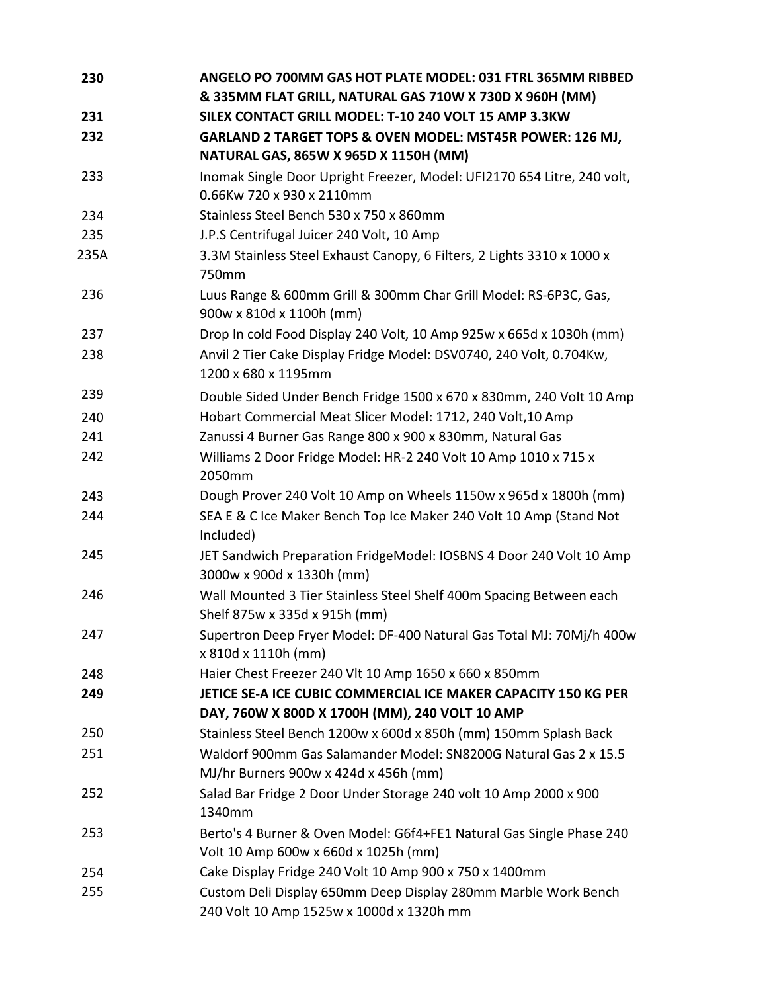| 230  | ANGELO PO 700MM GAS HOT PLATE MODEL: 031 FTRL 365MM RIBBED                                                       |
|------|------------------------------------------------------------------------------------------------------------------|
|      | & 335MM FLAT GRILL, NATURAL GAS 710W X 730D X 960H (MM)                                                          |
| 231  | SILEX CONTACT GRILL MODEL: T-10 240 VOLT 15 AMP 3.3KW                                                            |
| 232  | GARLAND 2 TARGET TOPS & OVEN MODEL: MST45R POWER: 126 MJ,<br>NATURAL GAS, 865W X 965D X 1150H (MM)               |
| 233  | Inomak Single Door Upright Freezer, Model: UFI2170 654 Litre, 240 volt,                                          |
|      | 0.66Kw 720 x 930 x 2110mm                                                                                        |
| 234  | Stainless Steel Bench 530 x 750 x 860mm                                                                          |
| 235  | J.P.S Centrifugal Juicer 240 Volt, 10 Amp                                                                        |
| 235A | 3.3M Stainless Steel Exhaust Canopy, 6 Filters, 2 Lights 3310 x 1000 x<br>750mm                                  |
| 236  | Luus Range & 600mm Grill & 300mm Char Grill Model: RS-6P3C, Gas,<br>900w x 810d x 1100h (mm)                     |
| 237  | Drop In cold Food Display 240 Volt, 10 Amp 925w x 665d x 1030h (mm)                                              |
| 238  | Anvil 2 Tier Cake Display Fridge Model: DSV0740, 240 Volt, 0.704Kw,<br>1200 x 680 x 1195mm                       |
| 239  | Double Sided Under Bench Fridge 1500 x 670 x 830mm, 240 Volt 10 Amp                                              |
| 240  | Hobart Commercial Meat Slicer Model: 1712, 240 Volt,10 Amp                                                       |
| 241  | Zanussi 4 Burner Gas Range 800 x 900 x 830mm, Natural Gas                                                        |
| 242  | Williams 2 Door Fridge Model: HR-2 240 Volt 10 Amp 1010 x 715 x<br>2050mm                                        |
| 243  | Dough Prover 240 Volt 10 Amp on Wheels 1150w x 965d x 1800h (mm)                                                 |
| 244  | SEA E & C Ice Maker Bench Top Ice Maker 240 Volt 10 Amp (Stand Not<br>Included)                                  |
| 245  | JET Sandwich Preparation FridgeModel: IOSBNS 4 Door 240 Volt 10 Amp<br>3000w x 900d x 1330h (mm)                 |
| 246  | Wall Mounted 3 Tier Stainless Steel Shelf 400m Spacing Between each<br>Shelf 875w x 335d x 915h (mm)             |
| 247  | Supertron Deep Fryer Model: DF-400 Natural Gas Total MJ: 70Mj/h 400w<br>x 810d x 1110h (mm)                      |
| 248  | Haier Chest Freezer 240 Vlt 10 Amp 1650 x 660 x 850mm                                                            |
| 249  | JETICE SE-A ICE CUBIC COMMERCIAL ICE MAKER CAPACITY 150 KG PER<br>DAY, 760W X 800D X 1700H (MM), 240 VOLT 10 AMP |
| 250  | Stainless Steel Bench 1200w x 600d x 850h (mm) 150mm Splash Back                                                 |
| 251  | Waldorf 900mm Gas Salamander Model: SN8200G Natural Gas 2 x 15.5<br>MJ/hr Burners 900w x 424d x 456h (mm)        |
| 252  | Salad Bar Fridge 2 Door Under Storage 240 volt 10 Amp 2000 x 900<br>1340mm                                       |
| 253  | Berto's 4 Burner & Oven Model: G6f4+FE1 Natural Gas Single Phase 240<br>Volt 10 Amp 600w x 660d x 1025h (mm)     |
| 254  | Cake Display Fridge 240 Volt 10 Amp 900 x 750 x 1400mm                                                           |
| 255  | Custom Deli Display 650mm Deep Display 280mm Marble Work Bench<br>240 Volt 10 Amp 1525w x 1000d x 1320h mm       |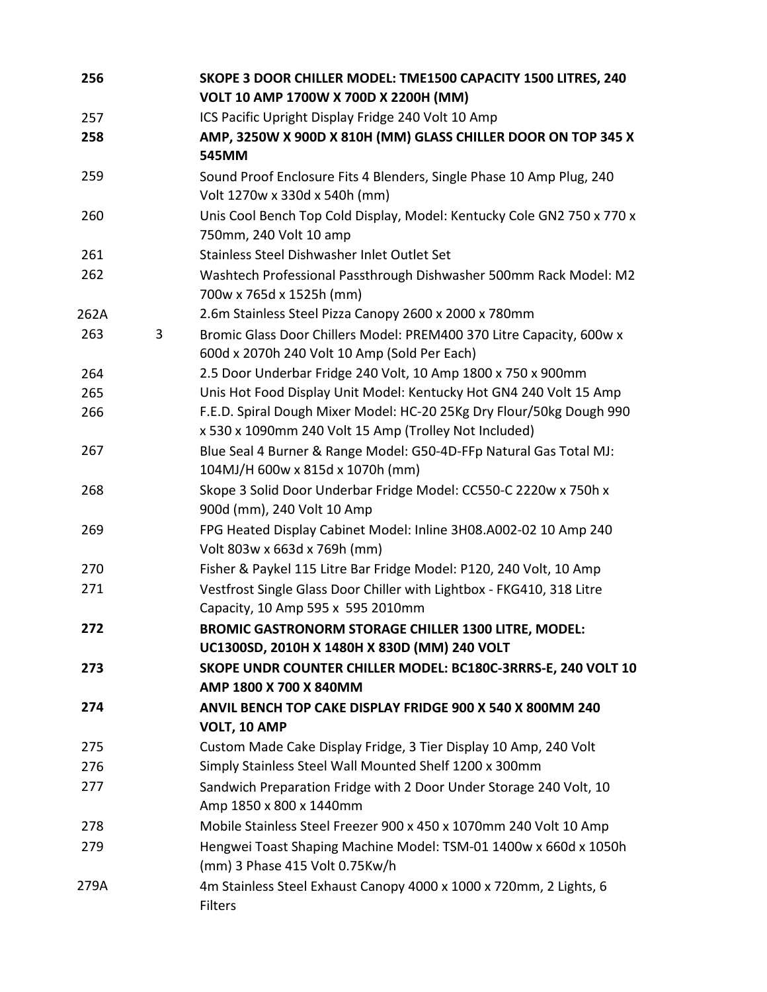| 256  |   | SKOPE 3 DOOR CHILLER MODEL: TME1500 CAPACITY 1500 LITRES, 240<br>VOLT 10 AMP 1700W X 700D X 2200H (MM)                        |
|------|---|-------------------------------------------------------------------------------------------------------------------------------|
| 257  |   | ICS Pacific Upright Display Fridge 240 Volt 10 Amp                                                                            |
| 258  |   | AMP, 3250W X 900D X 810H (MM) GLASS CHILLER DOOR ON TOP 345 X<br>545MM                                                        |
| 259  |   | Sound Proof Enclosure Fits 4 Blenders, Single Phase 10 Amp Plug, 240<br>Volt 1270w x 330d x 540h (mm)                         |
| 260  |   | Unis Cool Bench Top Cold Display, Model: Kentucky Cole GN2 750 x 770 x<br>750mm, 240 Volt 10 amp                              |
| 261  |   | Stainless Steel Dishwasher Inlet Outlet Set                                                                                   |
| 262  |   | Washtech Professional Passthrough Dishwasher 500mm Rack Model: M2<br>700w x 765d x 1525h (mm)                                 |
| 262A |   | 2.6m Stainless Steel Pizza Canopy 2600 x 2000 x 780mm                                                                         |
| 263  | 3 | Bromic Glass Door Chillers Model: PREM400 370 Litre Capacity, 600w x<br>600d x 2070h 240 Volt 10 Amp (Sold Per Each)          |
| 264  |   | 2.5 Door Underbar Fridge 240 Volt, 10 Amp 1800 x 750 x 900mm                                                                  |
| 265  |   | Unis Hot Food Display Unit Model: Kentucky Hot GN4 240 Volt 15 Amp                                                            |
| 266  |   | F.E.D. Spiral Dough Mixer Model: HC-20 25Kg Dry Flour/50kg Dough 990<br>x 530 x 1090mm 240 Volt 15 Amp (Trolley Not Included) |
| 267  |   | Blue Seal 4 Burner & Range Model: G50-4D-FFp Natural Gas Total MJ:<br>104MJ/H 600w x 815d x 1070h (mm)                        |
| 268  |   | Skope 3 Solid Door Underbar Fridge Model: CC550-C 2220w x 750h x<br>900d (mm), 240 Volt 10 Amp                                |
| 269  |   | FPG Heated Display Cabinet Model: Inline 3H08.A002-02 10 Amp 240<br>Volt 803w x 663d x 769h (mm)                              |
| 270  |   | Fisher & Paykel 115 Litre Bar Fridge Model: P120, 240 Volt, 10 Amp                                                            |
| 271  |   | Vestfrost Single Glass Door Chiller with Lightbox - FKG410, 318 Litre<br>Capacity, 10 Amp 595 x 595 2010mm                    |
| 272  |   | <b>BROMIC GASTRONORM STORAGE CHILLER 1300 LITRE, MODEL:</b><br>UC1300SD, 2010H X 1480H X 830D (MM) 240 VOLT                   |
| 273  |   | SKOPE UNDR COUNTER CHILLER MODEL: BC180C-3RRRS-E, 240 VOLT 10<br>AMP 1800 X 700 X 840MM                                       |
| 274  |   | ANVIL BENCH TOP CAKE DISPLAY FRIDGE 900 X 540 X 800MM 240<br>VOLT, 10 AMP                                                     |
| 275  |   | Custom Made Cake Display Fridge, 3 Tier Display 10 Amp, 240 Volt                                                              |
| 276  |   | Simply Stainless Steel Wall Mounted Shelf 1200 x 300mm                                                                        |
| 277  |   | Sandwich Preparation Fridge with 2 Door Under Storage 240 Volt, 10<br>Amp 1850 x 800 x 1440mm                                 |
| 278  |   | Mobile Stainless Steel Freezer 900 x 450 x 1070mm 240 Volt 10 Amp                                                             |
| 279  |   | Hengwei Toast Shaping Machine Model: TSM-01 1400w x 660d x 1050h<br>(mm) 3 Phase 415 Volt 0.75Kw/h                            |
| 279A |   | 4m Stainless Steel Exhaust Canopy 4000 x 1000 x 720mm, 2 Lights, 6<br><b>Filters</b>                                          |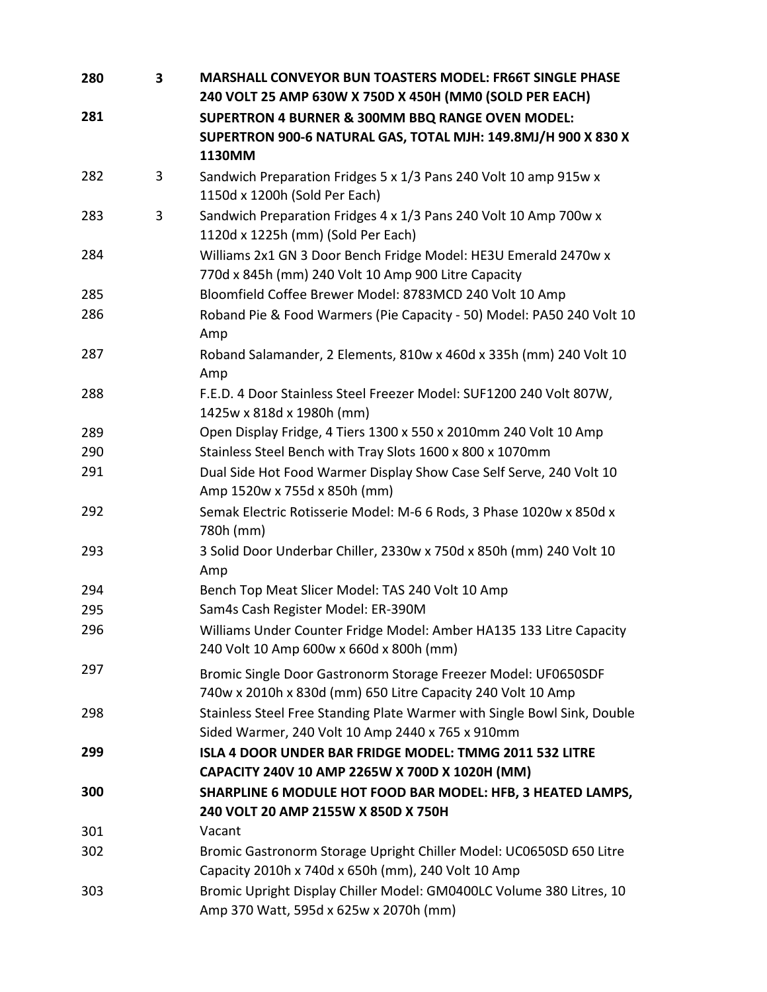| 280 | 3 | <b>MARSHALL CONVEYOR BUN TOASTERS MODEL: FR66T SINGLE PHASE</b><br>240 VOLT 25 AMP 630W X 750D X 450H (MM0 (SOLD PER EACH)    |
|-----|---|-------------------------------------------------------------------------------------------------------------------------------|
| 281 |   | <b>SUPERTRON 4 BURNER &amp; 300MM BBQ RANGE OVEN MODEL:</b>                                                                   |
|     |   | SUPERTRON 900-6 NATURAL GAS, TOTAL MJH: 149.8MJ/H 900 X 830 X                                                                 |
|     |   | 1130MM                                                                                                                        |
| 282 | 3 | Sandwich Preparation Fridges 5 x 1/3 Pans 240 Volt 10 amp 915w x                                                              |
|     |   | 1150d x 1200h (Sold Per Each)                                                                                                 |
| 283 | 3 | Sandwich Preparation Fridges 4 x 1/3 Pans 240 Volt 10 Amp 700w x<br>1120d x 1225h (mm) (Sold Per Each)                        |
| 284 |   | Williams 2x1 GN 3 Door Bench Fridge Model: HE3U Emerald 2470w x<br>770d x 845h (mm) 240 Volt 10 Amp 900 Litre Capacity        |
| 285 |   | Bloomfield Coffee Brewer Model: 8783MCD 240 Volt 10 Amp                                                                       |
| 286 |   | Roband Pie & Food Warmers (Pie Capacity - 50) Model: PA50 240 Volt 10<br>Amp                                                  |
| 287 |   | Roband Salamander, 2 Elements, 810w x 460d x 335h (mm) 240 Volt 10<br>Amp                                                     |
| 288 |   | F.E.D. 4 Door Stainless Steel Freezer Model: SUF1200 240 Volt 807W,<br>1425w x 818d x 1980h (mm)                              |
| 289 |   | Open Display Fridge, 4 Tiers 1300 x 550 x 2010mm 240 Volt 10 Amp                                                              |
| 290 |   | Stainless Steel Bench with Tray Slots 1600 x 800 x 1070mm                                                                     |
| 291 |   | Dual Side Hot Food Warmer Display Show Case Self Serve, 240 Volt 10<br>Amp 1520w x 755d x 850h (mm)                           |
| 292 |   | Semak Electric Rotisserie Model: M-6 6 Rods, 3 Phase 1020w x 850d x<br>780h (mm)                                              |
| 293 |   | 3 Solid Door Underbar Chiller, 2330w x 750d x 850h (mm) 240 Volt 10<br>Amp                                                    |
| 294 |   | Bench Top Meat Slicer Model: TAS 240 Volt 10 Amp                                                                              |
| 295 |   | Sam4s Cash Register Model: ER-390M                                                                                            |
| 296 |   | Williams Under Counter Fridge Model: Amber HA135 133 Litre Capacity<br>240 Volt 10 Amp 600w x 660d x 800h (mm)                |
| 297 |   | Bromic Single Door Gastronorm Storage Freezer Model: UF0650SDF<br>740w x 2010h x 830d (mm) 650 Litre Capacity 240 Volt 10 Amp |
| 298 |   | Stainless Steel Free Standing Plate Warmer with Single Bowl Sink, Double<br>Sided Warmer, 240 Volt 10 Amp 2440 x 765 x 910mm  |
| 299 |   | ISLA 4 DOOR UNDER BAR FRIDGE MODEL: TMMG 2011 532 LITRE<br>CAPACITY 240V 10 AMP 2265W X 700D X 1020H (MM)                     |
| 300 |   | SHARPLINE 6 MODULE HOT FOOD BAR MODEL: HFB, 3 HEATED LAMPS,<br>240 VOLT 20 AMP 2155W X 850D X 750H                            |
| 301 |   | Vacant                                                                                                                        |
| 302 |   | Bromic Gastronorm Storage Upright Chiller Model: UC0650SD 650 Litre<br>Capacity 2010h x 740d x 650h (mm), 240 Volt 10 Amp     |
| 303 |   | Bromic Upright Display Chiller Model: GM0400LC Volume 380 Litres, 10<br>Amp 370 Watt, 595d x 625w x 2070h (mm)                |